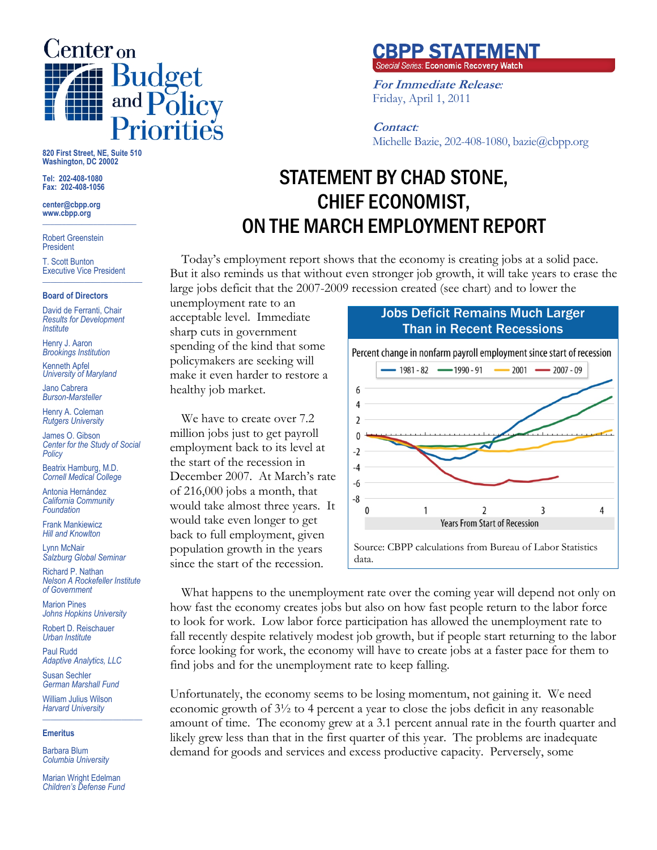

**820 First Street, NE, Suite 510 Washington, DC 20002** 

**Tel: 202-408-1080 Fax: 202-408-1056** 

**center@cbpp.org www.cbpp.org \_\_\_\_\_\_\_\_\_\_\_\_\_\_\_\_\_\_\_\_\_\_\_\_** 

Robert Greenstein President

T. Scott Bunton Executive Vice President **\_\_\_\_\_\_\_\_\_\_\_\_\_\_\_\_\_\_\_\_\_\_\_\_** 

#### **Board of Directors**

David de Ferranti, Chair *Results for Development Institute* 

Henry J. Aaron *Brookings Institution* 

Kenneth Apfel *University of Maryland* 

Jano Cabrera *Burson-Marsteller* 

Henry A. Coleman *Rutgers University* 

James O. Gibson *Center for the Study of Social Policy* 

Beatrix Hamburg, M.D. *Cornell Medical College* 

Antonia Hernández *California Community Foundation* 

Frank Mankiewicz *Hill and Knowlton* 

Lynn McNair *Salzburg Global Seminar* 

Richard P. Nathan *Nelson A Rockefeller Institute of Government* 

Marion Pines *Johns Hopkins University* 

Robert D. Reischauer *Urban Institute* 

Paul Rudd *Adaptive Analytics, LLC* 

Susan Sechler *German Marshall Fund* 

William Julius Wilson *Harvard University*  **\_\_\_\_\_\_\_\_\_\_\_\_\_\_\_\_\_\_\_\_\_\_\_\_** 

### **Emeritus**

Barbara Blum *Columbia University* 

Marian Wright Edelman *Children's Defense Fund* 

# **CBPP STATEMENT**<br>Special Series: Economic Recovery Watch

**For Immediate Release***:* Friday, April 1, 2011

**Contact***:* Michelle Bazie, 202-408-1080, bazie@cbpp.org

## STATEMENT BY CHAD STONE, CHIEF ECONOMIST, ON THE MARCH EMPLOYMENT REPORT

Today's employment report shows that the economy is creating jobs at a solid pace. But it also reminds us that without even stronger job growth, it will take years to erase the large jobs deficit that the 2007-2009 recession created (see chart) and to lower the

unemployment rate to an acceptable level. Immediate sharp cuts in government spending of the kind that some policymakers are seeking will make it even harder to restore a healthy job market.

We have to create over 7.2 million jobs just to get payroll employment back to its level at the start of the recession in December 2007. At March's rate of 216,000 jobs a month, that would take almost three years. It would take even longer to get back to full employment, given population growth in the years since the start of the recession.





What happens to the unemployment rate over the coming year will depend not only on how fast the economy creates jobs but also on how fast people return to the labor force to look for work. Low labor force participation has allowed the unemployment rate to fall recently despite relatively modest job growth, but if people start returning to the labor force looking for work, the economy will have to create jobs at a faster pace for them to find jobs and for the unemployment rate to keep falling.

Unfortunately, the economy seems to be losing momentum, not gaining it. We need economic growth of 3½ to 4 percent a year to close the jobs deficit in any reasonable amount of time. The economy grew at a 3.1 percent annual rate in the fourth quarter and likely grew less than that in the first quarter of this year. The problems are inadequate demand for goods and services and excess productive capacity. Perversely, some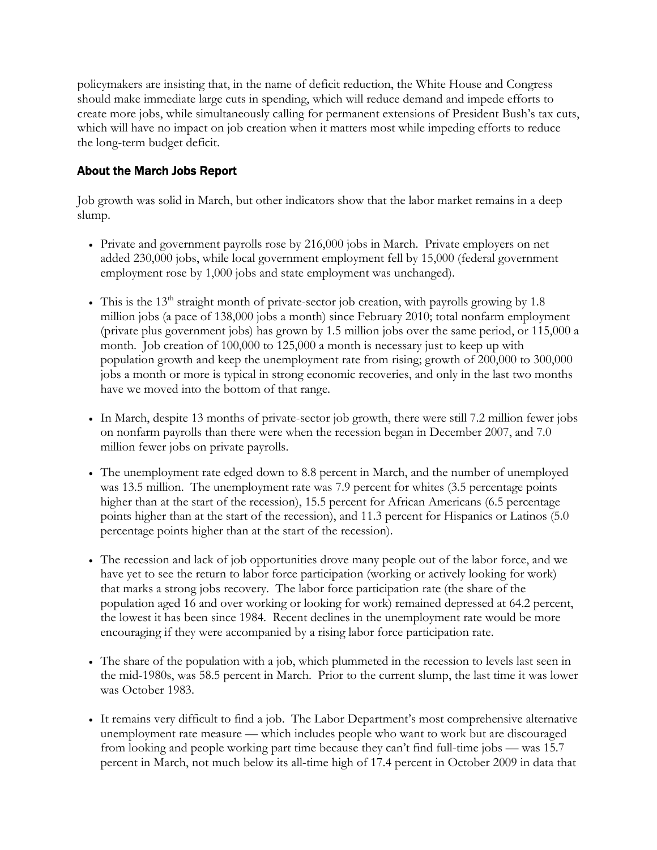policymakers are insisting that, in the name of deficit reduction, the White House and Congress should make immediate large cuts in spending, which will reduce demand and impede efforts to create more jobs, while simultaneously calling for permanent extensions of President Bush's tax cuts, which will have no impact on job creation when it matters most while impeding efforts to reduce the long-term budget deficit.

## About the March Jobs Report

Job growth was solid in March, but other indicators show that the labor market remains in a deep slump.

- Private and government payrolls rose by 216,000 jobs in March. Private employers on net added 230,000 jobs, while local government employment fell by 15,000 (federal government employment rose by 1,000 jobs and state employment was unchanged).
- This is the 13<sup>th</sup> straight month of private-sector job creation, with payrolls growing by 1.8 million jobs (a pace of 138,000 jobs a month) since February 2010; total nonfarm employment (private plus government jobs) has grown by 1.5 million jobs over the same period, or 115,000 a month. Job creation of 100,000 to 125,000 a month is necessary just to keep up with population growth and keep the unemployment rate from rising; growth of 200,000 to 300,000 jobs a month or more is typical in strong economic recoveries, and only in the last two months have we moved into the bottom of that range.
- In March, despite 13 months of private-sector job growth, there were still 7.2 million fewer jobs on nonfarm payrolls than there were when the recession began in December 2007, and 7.0 million fewer jobs on private payrolls.
- The unemployment rate edged down to 8.8 percent in March, and the number of unemployed was 13.5 million. The unemployment rate was 7.9 percent for whites (3.5 percentage points higher than at the start of the recession), 15.5 percent for African Americans (6.5 percentage points higher than at the start of the recession), and 11.3 percent for Hispanics or Latinos (5.0 percentage points higher than at the start of the recession).
- The recession and lack of job opportunities drove many people out of the labor force, and we have yet to see the return to labor force participation (working or actively looking for work) that marks a strong jobs recovery. The labor force participation rate (the share of the population aged 16 and over working or looking for work) remained depressed at 64.2 percent, the lowest it has been since 1984. Recent declines in the unemployment rate would be more encouraging if they were accompanied by a rising labor force participation rate.
- The share of the population with a job, which plummeted in the recession to levels last seen in the mid-1980s, was 58.5 percent in March. Prior to the current slump, the last time it was lower was October 1983.
- It remains very difficult to find a job. The Labor Department's most comprehensive alternative unemployment rate measure — which includes people who want to work but are discouraged from looking and people working part time because they can't find full-time jobs — was 15.7 percent in March, not much below its all-time high of 17.4 percent in October 2009 in data that